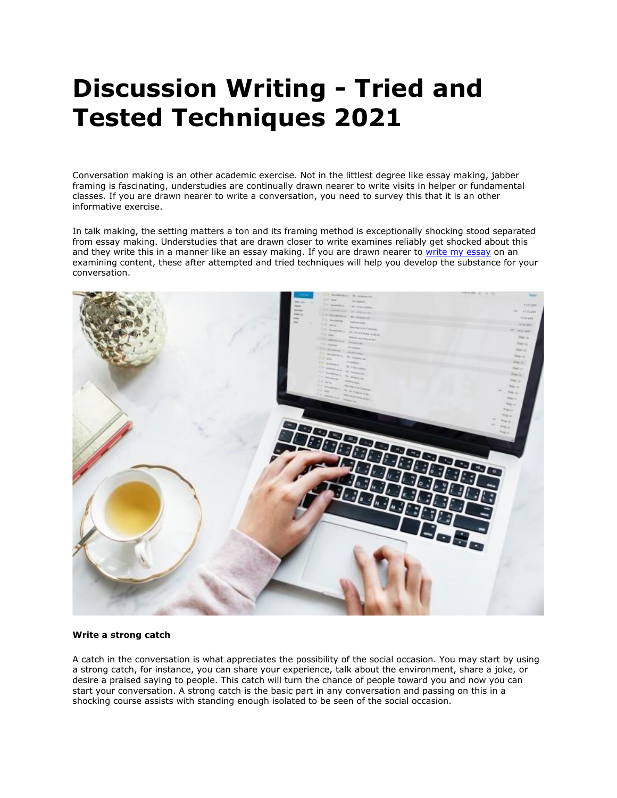# **Discussion Writing - Tried and Tested Techniques 2021**

Conversation making is an other academic exercise. Not in the littlest degree like essay making, jabber framing is fascinating, understudies are continually drawn nearer to write visits in helper or fundamental classes. If you are drawn nearer to write a conversation, you need to survey this that it is an other informative exercise.

In talk making, the setting matters a ton and its framing method is exceptionally shocking stood separated from essay making. Understudies that are drawn closer to write examines reliably get shocked about this and they write this in a manner like an essay making. If you are drawn nearer to [write my essay](https://www.5staressays.com/) on an examining content, these after attempted and tried techniques will help you develop the substance for your conversation.



# **Write a strong catch**

A catch in the conversation is what appreciates the possibility of the social occasion. You may start by using a strong catch, for instance, you can share your experience, talk about the environment, share a joke, or desire a praised saying to people. This catch will turn the chance of people toward you and now you can start your conversation. A strong catch is the basic part in any conversation and passing on this in a shocking course assists with standing enough isolated to be seen of the social occasion.